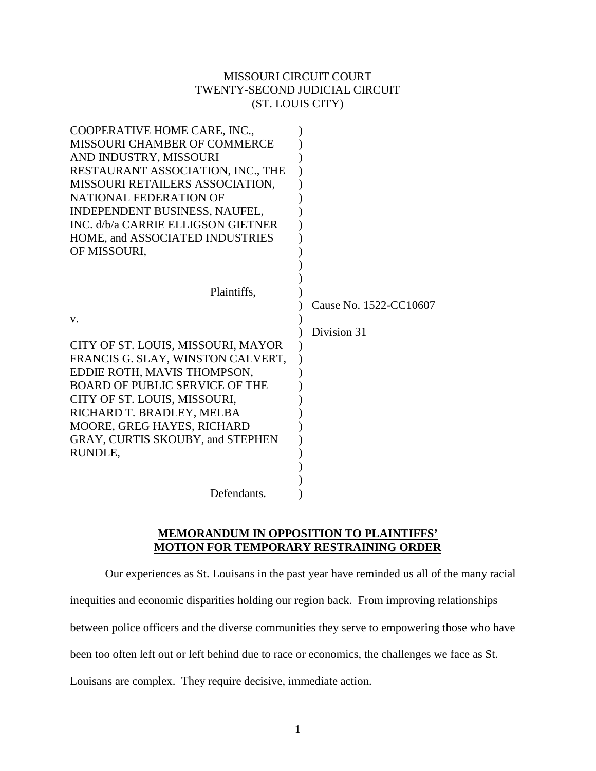# MISSOURI CIRCUIT COURT TWENTY-SECOND JUDICIAL CIRCUIT (ST. LOUIS CITY)

| COOPERATIVE HOME CARE, INC.,<br><b>MISSOURI CHAMBER OF COMMERCE</b><br>AND INDUSTRY, MISSOURI<br>RESTAURANT ASSOCIATION, INC., THE<br>MISSOURI RETAILERS ASSOCIATION,<br>NATIONAL FEDERATION OF<br>INDEPENDENT BUSINESS, NAUFEL,<br>INC. d/b/a CARRIE ELLIGSON GIETNER |                                       |
|------------------------------------------------------------------------------------------------------------------------------------------------------------------------------------------------------------------------------------------------------------------------|---------------------------------------|
| HOME, and ASSOCIATED INDUSTRIES                                                                                                                                                                                                                                        |                                       |
| OF MISSOURI,                                                                                                                                                                                                                                                           |                                       |
| Plaintiffs,<br>V.                                                                                                                                                                                                                                                      | Cause No. 1522-CC10607<br>Division 31 |
| CITY OF ST. LOUIS, MISSOURI, MAYOR                                                                                                                                                                                                                                     |                                       |
| FRANCIS G. SLAY, WINSTON CALVERT,                                                                                                                                                                                                                                      |                                       |
| EDDIE ROTH, MAVIS THOMPSON,                                                                                                                                                                                                                                            |                                       |
| <b>BOARD OF PUBLIC SERVICE OF THE</b>                                                                                                                                                                                                                                  |                                       |
| CITY OF ST. LOUIS, MISSOURI,                                                                                                                                                                                                                                           |                                       |
| RICHARD T. BRADLEY, MELBA                                                                                                                                                                                                                                              |                                       |
| MOORE, GREG HAYES, RICHARD                                                                                                                                                                                                                                             |                                       |
| GRAY, CURTIS SKOUBY, and STEPHEN                                                                                                                                                                                                                                       |                                       |
| RUNDLE,                                                                                                                                                                                                                                                                |                                       |
|                                                                                                                                                                                                                                                                        |                                       |
| Defendants.                                                                                                                                                                                                                                                            |                                       |
|                                                                                                                                                                                                                                                                        |                                       |

# **MEMORANDUM IN OPPOSITION TO PLAINTIFFS' MOTION FOR TEMPORARY RESTRAINING ORDER**

Our experiences as St. Louisans in the past year have reminded us all of the many racial

inequities and economic disparities holding our region back. From improving relationships

between police officers and the diverse communities they serve to empowering those who have

been too often left out or left behind due to race or economics, the challenges we face as St.

Louisans are complex. They require decisive, immediate action.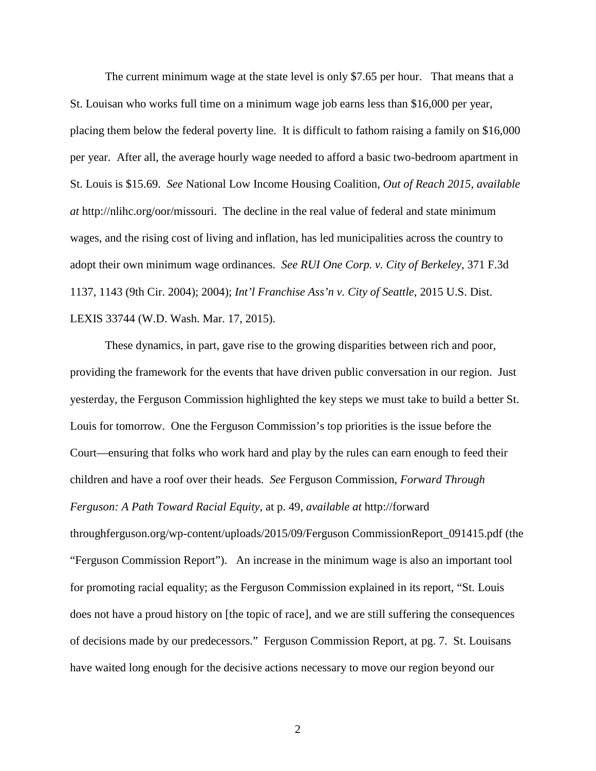The current minimum wage at the state level is only \$7.65 per hour. That means that a St. Louisan who works full time on a minimum wage job earns less than \$16,000 per year, placing them below the federal poverty line. It is difficult to fathom raising a family on \$16,000 per year. After all, the average hourly wage needed to afford a basic two-bedroom apartment in St. Louis is \$15.69. *See* National Low Income Housing Coalition, *Out of Reach 2015*, *available at* http://nlihc.org/oor/missouri. The decline in the real value of federal and state minimum wages, and the rising cost of living and inflation, has led municipalities across the country to adopt their own minimum wage ordinances. *See RUI One Corp. v. City of Berkeley*, 371 F.3d 1137, 1143 (9th Cir. 2004); 2004); *Int'l Franchise Ass'n v. City of Seattle*, 2015 U.S. Dist. LEXIS 33744 (W.D. Wash. Mar. 17, 2015).

 These dynamics, in part, gave rise to the growing disparities between rich and poor, providing the framework for the events that have driven public conversation in our region. Just yesterday, the Ferguson Commission highlighted the key steps we must take to build a better St. Louis for tomorrow. One the Ferguson Commission's top priorities is the issue before the Court—ensuring that folks who work hard and play by the rules can earn enough to feed their children and have a roof over their heads. *See* Ferguson Commission, *Forward Through Ferguson: A Path Toward Racial Equity*, at p. 49, *available at* http://forward throughferguson.org/wp-content/uploads/2015/09/Ferguson CommissionReport\_091415.pdf (the "Ferguson Commission Report"). An increase in the minimum wage is also an important tool for promoting racial equality; as the Ferguson Commission explained in its report, "St. Louis does not have a proud history on [the topic of race], and we are still suffering the consequences of decisions made by our predecessors." Ferguson Commission Report, at pg. 7. St. Louisans have waited long enough for the decisive actions necessary to move our region beyond our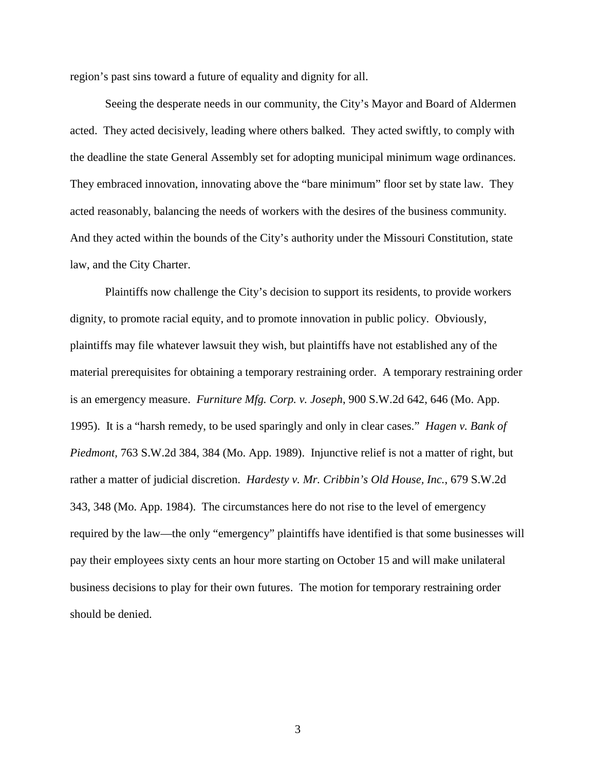region's past sins toward a future of equality and dignity for all.

 Seeing the desperate needs in our community, the City's Mayor and Board of Aldermen acted. They acted decisively, leading where others balked. They acted swiftly, to comply with the deadline the state General Assembly set for adopting municipal minimum wage ordinances. They embraced innovation, innovating above the "bare minimum" floor set by state law. They acted reasonably, balancing the needs of workers with the desires of the business community. And they acted within the bounds of the City's authority under the Missouri Constitution, state law, and the City Charter.

 Plaintiffs now challenge the City's decision to support its residents, to provide workers dignity, to promote racial equity, and to promote innovation in public policy. Obviously, plaintiffs may file whatever lawsuit they wish, but plaintiffs have not established any of the material prerequisites for obtaining a temporary restraining order. A temporary restraining order is an emergency measure. *Furniture Mfg. Corp. v. Joseph*, 900 S.W.2d 642, 646 (Mo. App. 1995). It is a "harsh remedy, to be used sparingly and only in clear cases." *Hagen v. Bank of Piedmont,* 763 S.W.2d 384, 384 (Mo. App. 1989). Injunctive relief is not a matter of right, but rather a matter of judicial discretion. *Hardesty v. Mr. Cribbin's Old House, Inc.*, 679 S.W.2d 343, 348 (Mo. App. 1984). The circumstances here do not rise to the level of emergency required by the law—the only "emergency" plaintiffs have identified is that some businesses will pay their employees sixty cents an hour more starting on October 15 and will make unilateral business decisions to play for their own futures. The motion for temporary restraining order should be denied.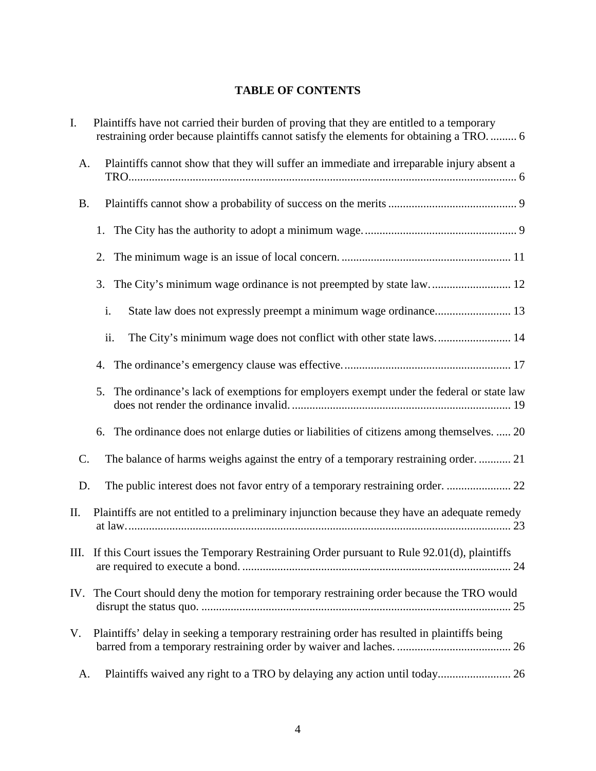# **TABLE OF CONTENTS**

| I.              | Plaintiffs have not carried their burden of proving that they are entitled to a temporary<br>restraining order because plaintiffs cannot satisfy the elements for obtaining a TRO 6 |
|-----------------|-------------------------------------------------------------------------------------------------------------------------------------------------------------------------------------|
| A.              | Plaintiffs cannot show that they will suffer an immediate and irreparable injury absent a                                                                                           |
| <b>B.</b>       |                                                                                                                                                                                     |
|                 | 1.                                                                                                                                                                                  |
|                 | 2.                                                                                                                                                                                  |
|                 | 3.                                                                                                                                                                                  |
|                 | State law does not expressly preempt a minimum wage ordinance 13<br>i.                                                                                                              |
|                 | ii.<br>The City's minimum wage does not conflict with other state laws 14                                                                                                           |
|                 | 4.                                                                                                                                                                                  |
|                 | The ordinance's lack of exemptions for employers exempt under the federal or state law<br>5.                                                                                        |
|                 | 6. The ordinance does not enlarge duties or liabilities of citizens among themselves.  20                                                                                           |
| $\mathcal{C}$ . | The balance of harms weighs against the entry of a temporary restraining order.  21                                                                                                 |
| D.              | The public interest does not favor entry of a temporary restraining order.  22                                                                                                      |
| П.              | Plaintiffs are not entitled to a preliminary injunction because they have an adequate remedy                                                                                        |
|                 | III. If this Court issues the Temporary Restraining Order pursuant to Rule 92.01(d), plaintiffs                                                                                     |
|                 | IV. The Court should deny the motion for temporary restraining order because the TRO would                                                                                          |
| V.              | Plaintiffs' delay in seeking a temporary restraining order has resulted in plaintiffs being                                                                                         |
| A.              | Plaintiffs waived any right to a TRO by delaying any action until today 26                                                                                                          |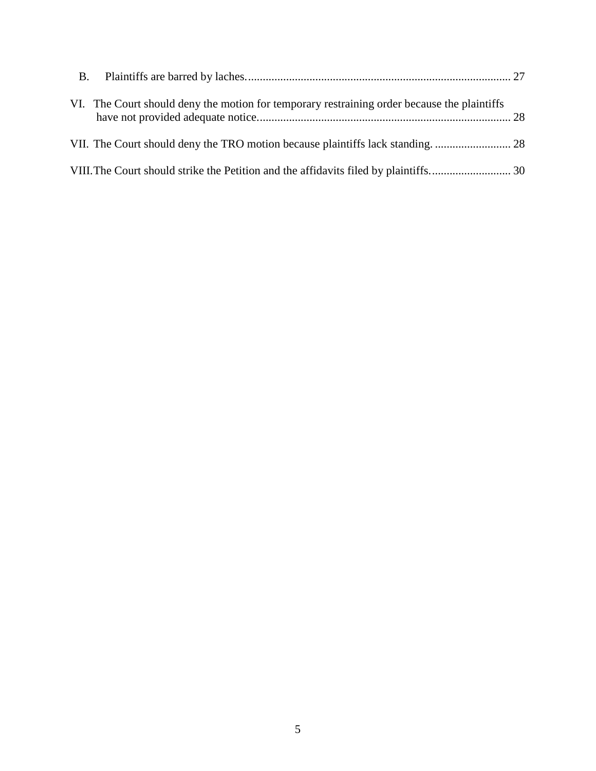| VI. The Court should deny the motion for temporary restraining order because the plaintiffs |  |
|---------------------------------------------------------------------------------------------|--|
|                                                                                             |  |
|                                                                                             |  |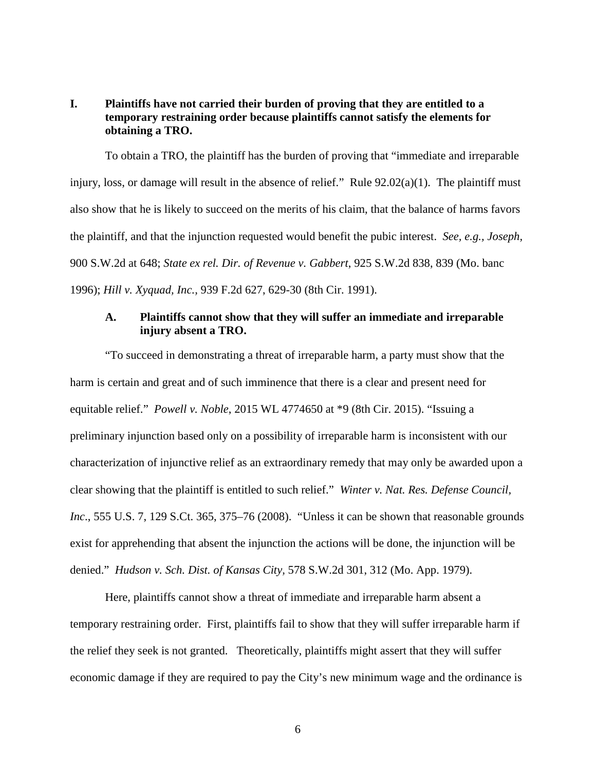# **I. Plaintiffs have not carried their burden of proving that they are entitled to a temporary restraining order because plaintiffs cannot satisfy the elements for obtaining a TRO.**

 To obtain a TRO, the plaintiff has the burden of proving that "immediate and irreparable injury, loss, or damage will result in the absence of relief." Rule 92.02(a)(1). The plaintiff must also show that he is likely to succeed on the merits of his claim, that the balance of harms favors the plaintiff, and that the injunction requested would benefit the pubic interest. *See, e.g., Joseph,*  900 S.W.2d at 648; *State ex rel. Dir. of Revenue v. Gabbert*, 925 S.W.2d 838, 839 (Mo. banc 1996); *Hill v. Xyquad, Inc.,* 939 F.2d 627, 629-30 (8th Cir. 1991).

### **A. Plaintiffs cannot show that they will suffer an immediate and irreparable injury absent a TRO.**

"To succeed in demonstrating a threat of irreparable harm, a party must show that the harm is certain and great and of such imminence that there is a clear and present need for equitable relief." *Powell v. Noble*, 2015 WL 4774650 at \*9 (8th Cir. 2015). "Issuing a preliminary injunction based only on a possibility of irreparable harm is inconsistent with our characterization of injunctive relief as an extraordinary remedy that may only be awarded upon a clear showing that the plaintiff is entitled to such relief." *Winter v. Nat. Res. Defense Council, Inc.*, 555 U.S. 7, 129 S.Ct. 365, 375–76 (2008). "Unless it can be shown that reasonable grounds exist for apprehending that absent the injunction the actions will be done, the injunction will be denied." *Hudson v. Sch. Dist. of Kansas City,* 578 S.W.2d 301, 312 (Mo. App. 1979).

Here, plaintiffs cannot show a threat of immediate and irreparable harm absent a temporary restraining order. First, plaintiffs fail to show that they will suffer irreparable harm if the relief they seek is not granted. Theoretically, plaintiffs might assert that they will suffer economic damage if they are required to pay the City's new minimum wage and the ordinance is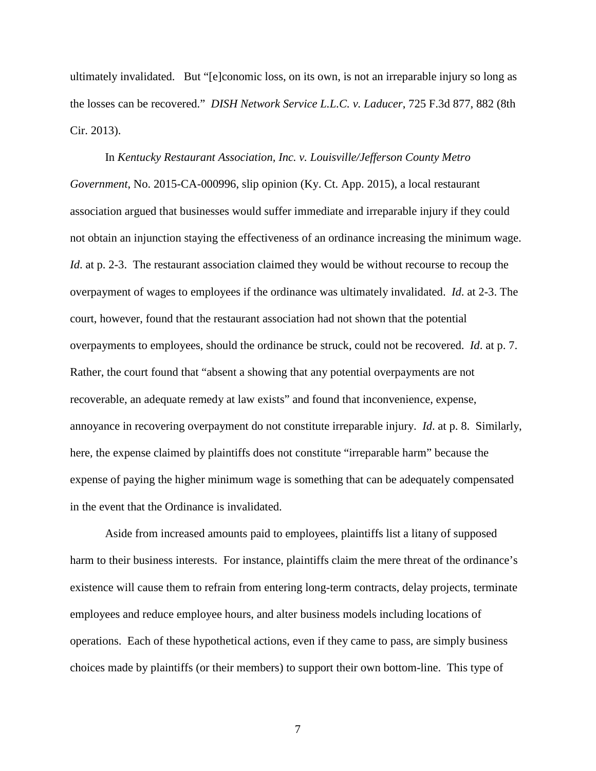ultimately invalidated. But "[e]conomic loss, on its own, is not an irreparable injury so long as the losses can be recovered." *DISH Network Service L.L.C. v. Laducer*, 725 F.3d 877, 882 (8th Cir. 2013).

In *Kentucky Restaurant Association, Inc. v. Louisville/Jefferson County Metro Government*, No. 2015-CA-000996, slip opinion (Ky. Ct. App. 2015), a local restaurant association argued that businesses would suffer immediate and irreparable injury if they could not obtain an injunction staying the effectiveness of an ordinance increasing the minimum wage. *Id.* at p. 2-3. The restaurant association claimed they would be without recourse to recoup the overpayment of wages to employees if the ordinance was ultimately invalidated. *Id*. at 2-3. The court, however, found that the restaurant association had not shown that the potential overpayments to employees, should the ordinance be struck, could not be recovered. *Id*. at p. 7. Rather, the court found that "absent a showing that any potential overpayments are not recoverable, an adequate remedy at law exists" and found that inconvenience, expense, annoyance in recovering overpayment do not constitute irreparable injury. *Id*. at p. 8. Similarly, here, the expense claimed by plaintiffs does not constitute "irreparable harm" because the expense of paying the higher minimum wage is something that can be adequately compensated in the event that the Ordinance is invalidated.

Aside from increased amounts paid to employees, plaintiffs list a litany of supposed harm to their business interests. For instance, plaintiffs claim the mere threat of the ordinance's existence will cause them to refrain from entering long-term contracts, delay projects, terminate employees and reduce employee hours, and alter business models including locations of operations. Each of these hypothetical actions, even if they came to pass, are simply business choices made by plaintiffs (or their members) to support their own bottom-line. This type of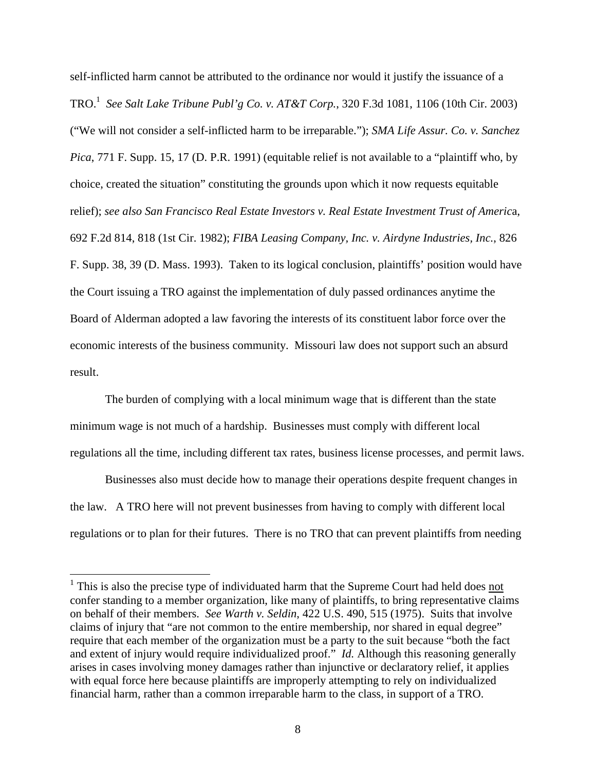self-inflicted harm cannot be attributed to the ordinance nor would it justify the issuance of a TRO.<sup>1</sup> *See Salt Lake Tribune Publ'g Co. v. AT&T Corp.*, 320 F.3d 1081, 1106 (10th Cir. 2003) ("We will not consider a self-inflicted harm to be irreparable."); *SMA Life Assur. Co. v. Sanchez Pica*, 771 F. Supp. 15, 17 (D. P.R. 1991) (equitable relief is not available to a "plaintiff who, by choice, created the situation" constituting the grounds upon which it now requests equitable relief); *see also San Francisco Real Estate Investors v. Real Estate Investment Trust of Americ*a, 692 F.2d 814, 818 (1st Cir. 1982); *FIBA Leasing Company, Inc. v. Airdyne Industries, Inc.*, 826 F. Supp. 38, 39 (D. Mass. 1993). Taken to its logical conclusion, plaintiffs' position would have the Court issuing a TRO against the implementation of duly passed ordinances anytime the Board of Alderman adopted a law favoring the interests of its constituent labor force over the economic interests of the business community. Missouri law does not support such an absurd result.

The burden of complying with a local minimum wage that is different than the state minimum wage is not much of a hardship. Businesses must comply with different local regulations all the time, including different tax rates, business license processes, and permit laws.

 Businesses also must decide how to manage their operations despite frequent changes in the law. A TRO here will not prevent businesses from having to comply with different local regulations or to plan for their futures. There is no TRO that can prevent plaintiffs from needing

<u>.</u>

 $1$  This is also the precise type of individuated harm that the Supreme Court had held does not confer standing to a member organization, like many of plaintiffs, to bring representative claims on behalf of their members. *See Warth v. Seldin*, 422 U.S. 490, 515 (1975). Suits that involve claims of injury that "are not common to the entire membership, nor shared in equal degree" require that each member of the organization must be a party to the suit because "both the fact and extent of injury would require individualized proof." *Id.* Although this reasoning generally arises in cases involving money damages rather than injunctive or declaratory relief, it applies with equal force here because plaintiffs are improperly attempting to rely on individualized financial harm, rather than a common irreparable harm to the class, in support of a TRO.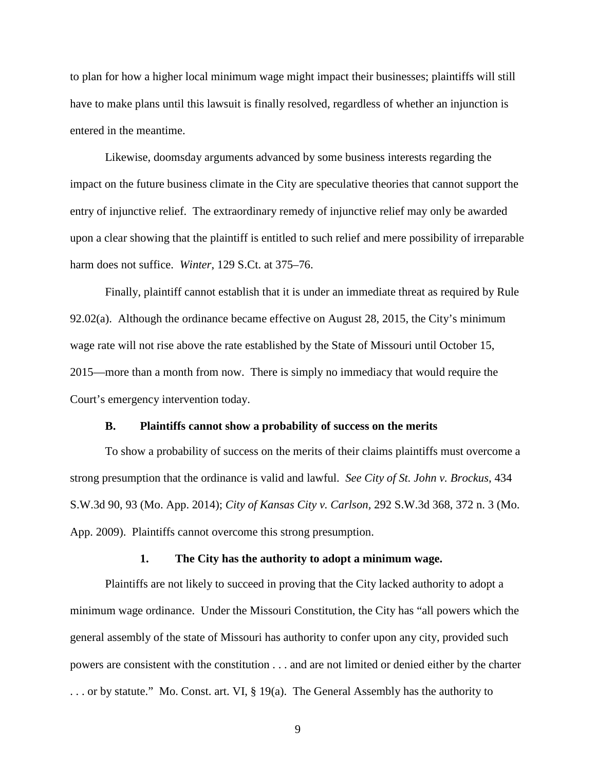to plan for how a higher local minimum wage might impact their businesses; plaintiffs will still have to make plans until this lawsuit is finally resolved, regardless of whether an injunction is entered in the meantime.

Likewise, doomsday arguments advanced by some business interests regarding the impact on the future business climate in the City are speculative theories that cannot support the entry of injunctive relief. The extraordinary remedy of injunctive relief may only be awarded upon a clear showing that the plaintiff is entitled to such relief and mere possibility of irreparable harm does not suffice. *Winter*, 129 S.Ct. at 375–76.

Finally, plaintiff cannot establish that it is under an immediate threat as required by Rule 92.02(a). Although the ordinance became effective on August 28, 2015, the City's minimum wage rate will not rise above the rate established by the State of Missouri until October 15, 2015—more than a month from now. There is simply no immediacy that would require the Court's emergency intervention today.

#### **B. Plaintiffs cannot show a probability of success on the merits**

To show a probability of success on the merits of their claims plaintiffs must overcome a strong presumption that the ordinance is valid and lawful. *See City of St. John v. Brockus*, 434 S.W.3d 90, 93 (Mo. App. 2014); *City of Kansas City v. Carlson,* 292 S.W.3d 368, 372 n. 3 (Mo. App. 2009). Plaintiffs cannot overcome this strong presumption.

#### **1. The City has the authority to adopt a minimum wage.**

 Plaintiffs are not likely to succeed in proving that the City lacked authority to adopt a minimum wage ordinance. Under the Missouri Constitution, the City has "all powers which the general assembly of the state of Missouri has authority to confer upon any city, provided such powers are consistent with the constitution . . . and are not limited or denied either by the charter . . . or by statute." Mo. Const. art. VI, § 19(a). The General Assembly has the authority to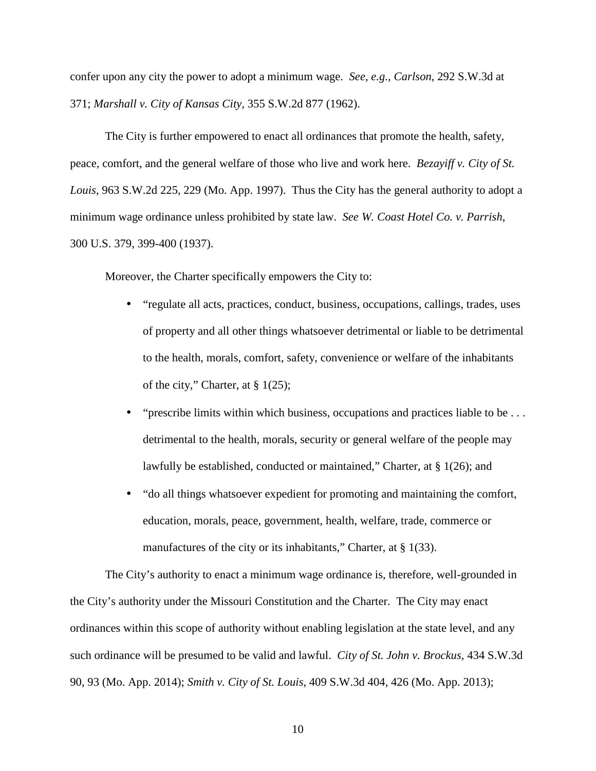confer upon any city the power to adopt a minimum wage. *See, e.g., Carlson*, 292 S.W.3d at 371; *Marshall v. City of Kansas City*, 355 S.W.2d 877 (1962).

 The City is further empowered to enact all ordinances that promote the health, safety, peace, comfort, and the general welfare of those who live and work here. *Bezayiff v. City of St. Louis*, 963 S.W.2d 225, 229 (Mo. App. 1997). Thus the City has the general authority to adopt a minimum wage ordinance unless prohibited by state law. *See W. Coast Hotel Co. v. Parrish*, 300 U.S. 379, 399-400 (1937).

Moreover, the Charter specifically empowers the City to:

- "regulate all acts, practices, conduct, business, occupations, callings, trades, uses of property and all other things whatsoever detrimental or liable to be detrimental to the health, morals, comfort, safety, convenience or welfare of the inhabitants of the city," Charter, at § 1(25);
- "prescribe limits within which business, occupations and practices liable to be ... detrimental to the health, morals, security or general welfare of the people may lawfully be established, conducted or maintained," Charter, at § 1(26); and
- "do all things whatsoever expedient for promoting and maintaining the comfort, education, morals, peace, government, health, welfare, trade, commerce or manufactures of the city or its inhabitants," Charter, at  $\S$  1(33).

The City's authority to enact a minimum wage ordinance is, therefore, well-grounded in the City's authority under the Missouri Constitution and the Charter. The City may enact ordinances within this scope of authority without enabling legislation at the state level, and any such ordinance will be presumed to be valid and lawful. *City of St. John v. Brockus*, 434 S.W.3d 90, 93 (Mo. App. 2014); *Smith v. City of St. Louis*, 409 S.W.3d 404, 426 (Mo. App. 2013);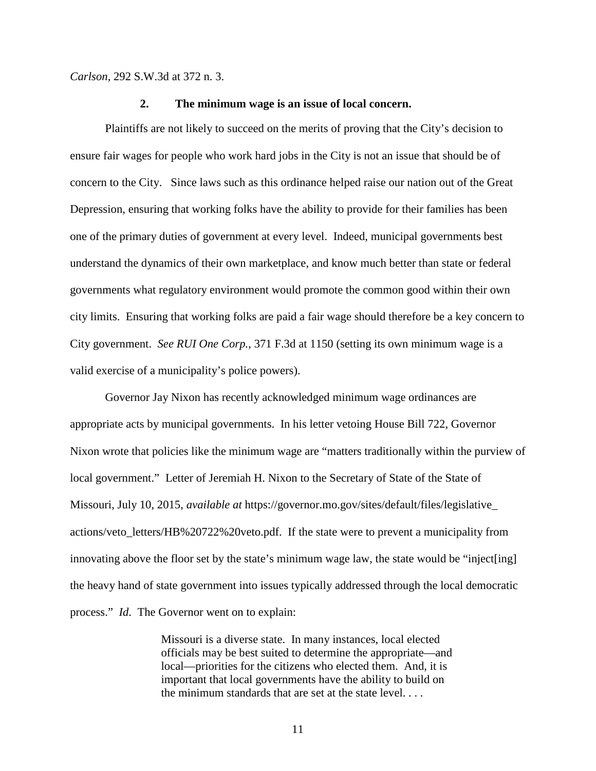*Carlson,* 292 S.W.3d at 372 n. 3.

#### **2. The minimum wage is an issue of local concern.**

 Plaintiffs are not likely to succeed on the merits of proving that the City's decision to ensure fair wages for people who work hard jobs in the City is not an issue that should be of concern to the City. Since laws such as this ordinance helped raise our nation out of the Great Depression, ensuring that working folks have the ability to provide for their families has been one of the primary duties of government at every level. Indeed, municipal governments best understand the dynamics of their own marketplace, and know much better than state or federal governments what regulatory environment would promote the common good within their own city limits. Ensuring that working folks are paid a fair wage should therefore be a key concern to City government. *See RUI One Corp.*, 371 F.3d at 1150 (setting its own minimum wage is a valid exercise of a municipality's police powers).

 Governor Jay Nixon has recently acknowledged minimum wage ordinances are appropriate acts by municipal governments. In his letter vetoing House Bill 722, Governor Nixon wrote that policies like the minimum wage are "matters traditionally within the purview of local government." Letter of Jeremiah H. Nixon to the Secretary of State of the State of Missouri, July 10, 2015, *available at* https://governor.mo.gov/sites/default/files/legislative\_ actions/veto\_letters/HB%20722%20veto.pdf. If the state were to prevent a municipality from innovating above the floor set by the state's minimum wage law, the state would be "inject[ing] the heavy hand of state government into issues typically addressed through the local democratic process." *Id*. The Governor went on to explain:

> Missouri is a diverse state. In many instances, local elected officials may be best suited to determine the appropriate—and local—priorities for the citizens who elected them. And, it is important that local governments have the ability to build on the minimum standards that are set at the state level. . . .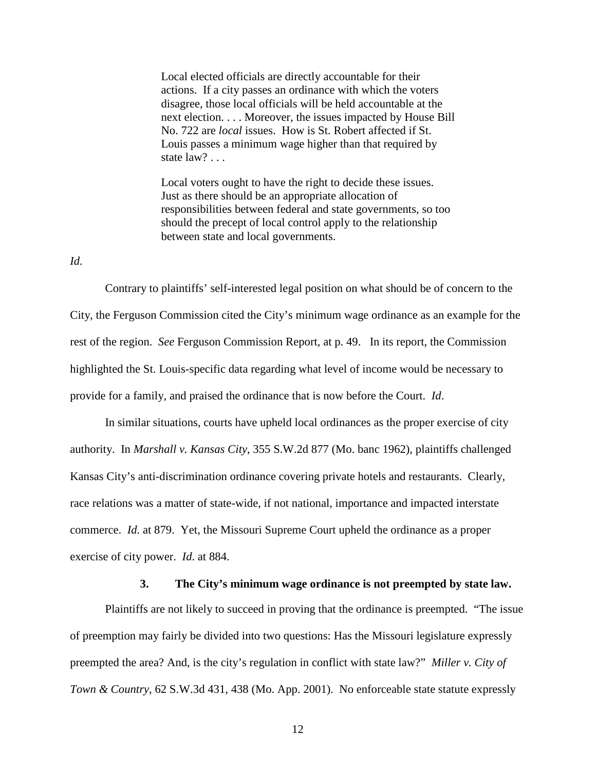Local elected officials are directly accountable for their actions. If a city passes an ordinance with which the voters disagree, those local officials will be held accountable at the next election. . . . Moreover, the issues impacted by House Bill No. 722 are *local* issues. How is St. Robert affected if St. Louis passes a minimum wage higher than that required by state law? . . .

Local voters ought to have the right to decide these issues. Just as there should be an appropriate allocation of responsibilities between federal and state governments, so too should the precept of local control apply to the relationship between state and local governments.

*Id*.

 Contrary to plaintiffs' self-interested legal position on what should be of concern to the City, the Ferguson Commission cited the City's minimum wage ordinance as an example for the rest of the region. *See* Ferguson Commission Report, at p. 49. In its report, the Commission highlighted the St. Louis-specific data regarding what level of income would be necessary to provide for a family, and praised the ordinance that is now before the Court. *Id*.

In similar situations, courts have upheld local ordinances as the proper exercise of city authority. In *Marshall v. Kansas City*, 355 S.W.2d 877 (Mo. banc 1962), plaintiffs challenged Kansas City's anti-discrimination ordinance covering private hotels and restaurants. Clearly, race relations was a matter of state-wide, if not national, importance and impacted interstate commerce. *Id.* at 879. Yet, the Missouri Supreme Court upheld the ordinance as a proper exercise of city power. *Id*. at 884.

#### **3. The City's minimum wage ordinance is not preempted by state law.**

 Plaintiffs are not likely to succeed in proving that the ordinance is preempted. "The issue of preemption may fairly be divided into two questions: Has the Missouri legislature expressly preempted the area? And, is the city's regulation in conflict with state law?" *Miller v. City of Town & Country*, 62 S.W.3d 431, 438 (Mo. App. 2001). No enforceable state statute expressly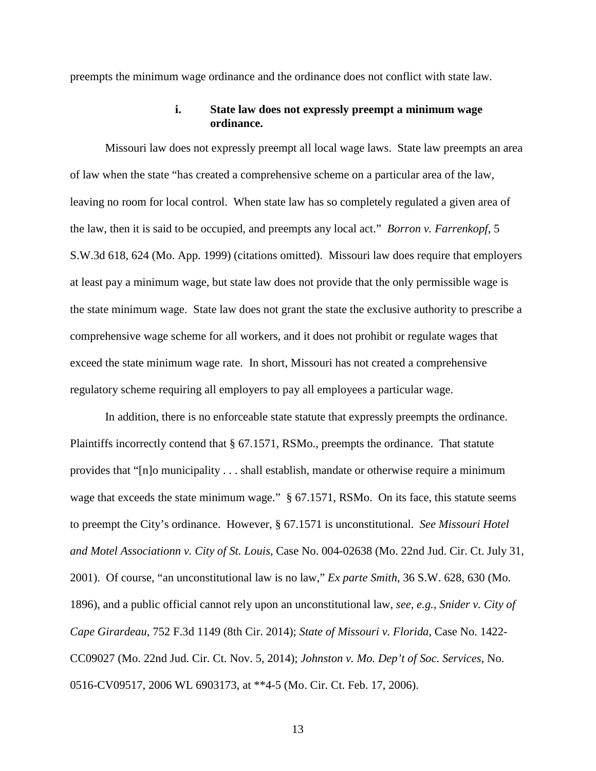preempts the minimum wage ordinance and the ordinance does not conflict with state law.

### **i. State law does not expressly preempt a minimum wage ordinance.**

 Missouri law does not expressly preempt all local wage laws. State law preempts an area of law when the state "has created a comprehensive scheme on a particular area of the law, leaving no room for local control. When state law has so completely regulated a given area of the law, then it is said to be occupied, and preempts any local act." *Borron v. Farrenkopf*, 5 S.W.3d 618, 624 (Mo. App. 1999) (citations omitted). Missouri law does require that employers at least pay a minimum wage, but state law does not provide that the only permissible wage is the state minimum wage. State law does not grant the state the exclusive authority to prescribe a comprehensive wage scheme for all workers, and it does not prohibit or regulate wages that exceed the state minimum wage rate. In short, Missouri has not created a comprehensive regulatory scheme requiring all employers to pay all employees a particular wage.

 In addition, there is no enforceable state statute that expressly preempts the ordinance. Plaintiffs incorrectly contend that § 67.1571, RSMo., preempts the ordinance. That statute provides that "[n]o municipality . . . shall establish, mandate or otherwise require a minimum wage that exceeds the state minimum wage." § 67.1571, RSMo. On its face, this statute seems to preempt the City's ordinance. However, § 67.1571 is unconstitutional. *See Missouri Hotel and Motel Associationn v. City of St. Louis*, Case No. 004-02638 (Mo. 22nd Jud. Cir. Ct. July 31, 2001). Of course, "an unconstitutional law is no law," *Ex parte Smith*, 36 S.W. 628, 630 (Mo. 1896), and a public official cannot rely upon an unconstitutional law, *see, e.g.*, *Snider v. City of Cape Girardeau*, 752 F.3d 1149 (8th Cir. 2014); *State of Missouri v. Florida*, Case No. 1422- CC09027 (Mo. 22nd Jud. Cir. Ct. Nov. 5, 2014); *Johnston v. Mo. Dep't of Soc. Services*, No. 0516-CV09517, 2006 WL 6903173, at \*\*4-5 (Mo. Cir. Ct. Feb. 17, 2006).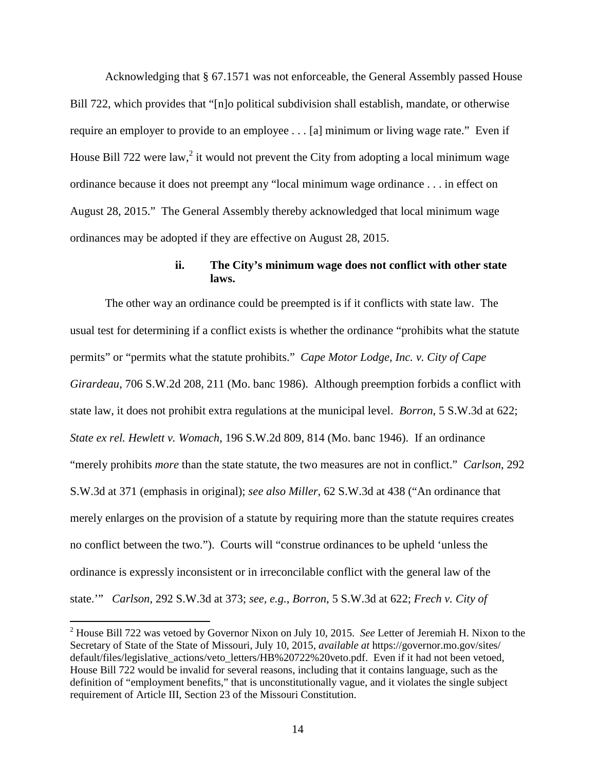Acknowledging that § 67.1571 was not enforceable, the General Assembly passed House Bill 722, which provides that "[n]o political subdivision shall establish, mandate, or otherwise require an employer to provide to an employee . . . [a] minimum or living wage rate." Even if House Bill 722 were law,<sup>2</sup> it would not prevent the City from adopting a local minimum wage ordinance because it does not preempt any "local minimum wage ordinance . . . in effect on August 28, 2015." The General Assembly thereby acknowledged that local minimum wage ordinances may be adopted if they are effective on August 28, 2015.

# **ii. The City's minimum wage does not conflict with other state laws.**

 The other way an ordinance could be preempted is if it conflicts with state law. The usual test for determining if a conflict exists is whether the ordinance "prohibits what the statute permits" or "permits what the statute prohibits." *Cape Motor Lodge, Inc. v. City of Cape Girardeau*, 706 S.W.2d 208, 211 (Mo. banc 1986). Although preemption forbids a conflict with state law, it does not prohibit extra regulations at the municipal level. *Borron*, 5 S.W.3d at 622; *State ex rel. Hewlett v. Womach*, 196 S.W.2d 809, 814 (Mo. banc 1946). If an ordinance "merely prohibits *more* than the state statute, the two measures are not in conflict." *Carlson*, 292 S.W.3d at 371 (emphasis in original); *see also Miller*, 62 S.W.3d at 438 ("An ordinance that merely enlarges on the provision of a statute by requiring more than the statute requires creates no conflict between the two."). Courts will "construe ordinances to be upheld 'unless the ordinance is expressly inconsistent or in irreconcilable conflict with the general law of the state.'" *Carlson*, 292 S.W.3d at 373; *see, e.g.*, *Borron*, 5 S.W.3d at 622; *Frech v. City of* 

 $\overline{a}$ 

<sup>2</sup> House Bill 722 was vetoed by Governor Nixon on July 10, 2015. *See* Letter of Jeremiah H. Nixon to the Secretary of State of the State of Missouri, July 10, 2015, *available at* https://governor.mo.gov/sites/ default/files/legislative\_actions/veto\_letters/HB%20722%20veto.pdf. Even if it had not been vetoed, House Bill 722 would be invalid for several reasons, including that it contains language, such as the definition of "employment benefits," that is unconstitutionally vague, and it violates the single subject requirement of Article III, Section 23 of the Missouri Constitution.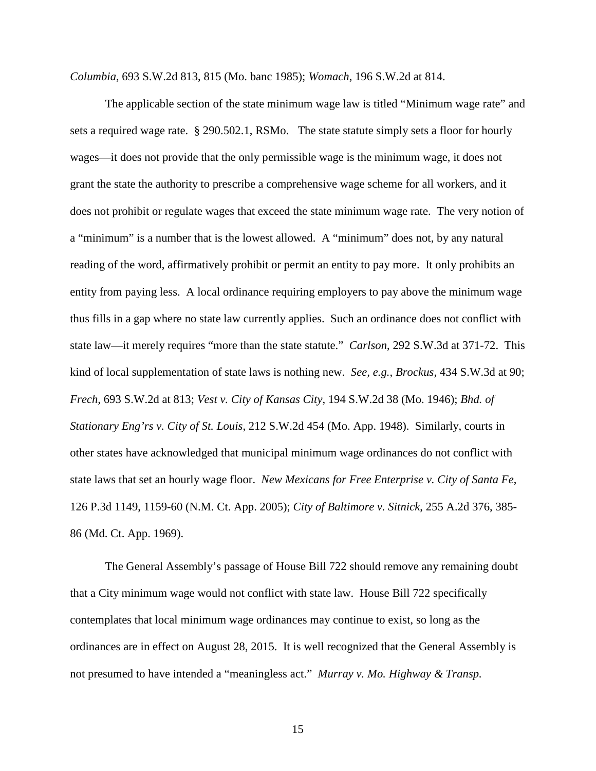*Columbia*, 693 S.W.2d 813, 815 (Mo. banc 1985); *Womach*, 196 S.W.2d at 814.

 The applicable section of the state minimum wage law is titled "Minimum wage rate" and sets a required wage rate. § 290.502.1, RSMo. The state statute simply sets a floor for hourly wages—it does not provide that the only permissible wage is the minimum wage, it does not grant the state the authority to prescribe a comprehensive wage scheme for all workers, and it does not prohibit or regulate wages that exceed the state minimum wage rate. The very notion of a "minimum" is a number that is the lowest allowed. A "minimum" does not, by any natural reading of the word, affirmatively prohibit or permit an entity to pay more. It only prohibits an entity from paying less. A local ordinance requiring employers to pay above the minimum wage thus fills in a gap where no state law currently applies. Such an ordinance does not conflict with state law—it merely requires "more than the state statute." *Carlson*, 292 S.W.3d at 371-72. This kind of local supplementation of state laws is nothing new. *See, e.g.*, *Brockus,* 434 S.W.3d at 90; *Frech,* 693 S.W.2d at 813; *Vest v. City of Kansas City*, 194 S.W.2d 38 (Mo. 1946); *Bhd. of Stationary Eng'rs v. City of St. Louis*, 212 S.W.2d 454 (Mo. App. 1948). Similarly, courts in other states have acknowledged that municipal minimum wage ordinances do not conflict with state laws that set an hourly wage floor. *New Mexicans for Free Enterprise v. City of Santa Fe*, 126 P.3d 1149, 1159-60 (N.M. Ct. App. 2005); *City of Baltimore v. Sitnick*, 255 A.2d 376, 385- 86 (Md. Ct. App. 1969).

 The General Assembly's passage of House Bill 722 should remove any remaining doubt that a City minimum wage would not conflict with state law. House Bill 722 specifically contemplates that local minimum wage ordinances may continue to exist, so long as the ordinances are in effect on August 28, 2015. It is well recognized that the General Assembly is not presumed to have intended a "meaningless act." *Murray v. Mo. Highway & Transp.*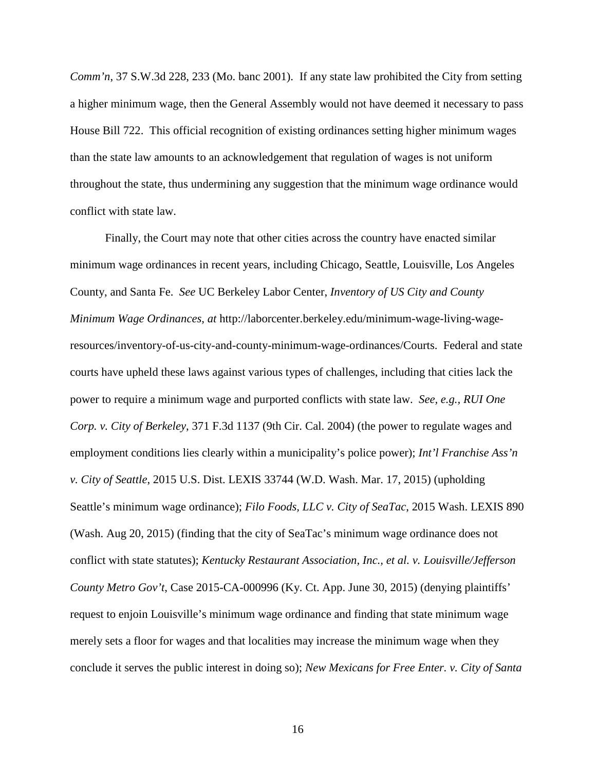*Comm'n*, 37 S.W.3d 228, 233 (Mo. banc 2001). If any state law prohibited the City from setting a higher minimum wage, then the General Assembly would not have deemed it necessary to pass House Bill 722. This official recognition of existing ordinances setting higher minimum wages than the state law amounts to an acknowledgement that regulation of wages is not uniform throughout the state, thus undermining any suggestion that the minimum wage ordinance would conflict with state law.

 Finally, the Court may note that other cities across the country have enacted similar minimum wage ordinances in recent years, including Chicago, Seattle, Louisville, Los Angeles County, and Santa Fe. *See* UC Berkeley Labor Center, *Inventory of US City and County Minimum Wage Ordinances*, *at* http://laborcenter.berkeley.edu/minimum-wage-living-wageresources/inventory-of-us-city-and-county-minimum-wage-ordinances/Courts. Federal and state courts have upheld these laws against various types of challenges, including that cities lack the power to require a minimum wage and purported conflicts with state law. *See, e.g., RUI One Corp. v. City of Berkeley*, 371 F.3d 1137 (9th Cir. Cal. 2004) (the power to regulate wages and employment conditions lies clearly within a municipality's police power); *Int'l Franchise Ass'n v. City of Seattle*, 2015 U.S. Dist. LEXIS 33744 (W.D. Wash. Mar. 17, 2015) (upholding Seattle's minimum wage ordinance); *Filo Foods, LLC v. City of SeaTac*, 2015 Wash. LEXIS 890 (Wash. Aug 20, 2015) (finding that the city of SeaTac's minimum wage ordinance does not conflict with state statutes); *Kentucky Restaurant Association, Inc., et al. v. Louisville/Jefferson County Metro Gov't*, Case 2015-CA-000996 (Ky. Ct. App. June 30, 2015) (denying plaintiffs' request to enjoin Louisville's minimum wage ordinance and finding that state minimum wage merely sets a floor for wages and that localities may increase the minimum wage when they conclude it serves the public interest in doing so); *New Mexicans for Free Enter. v. City of Santa*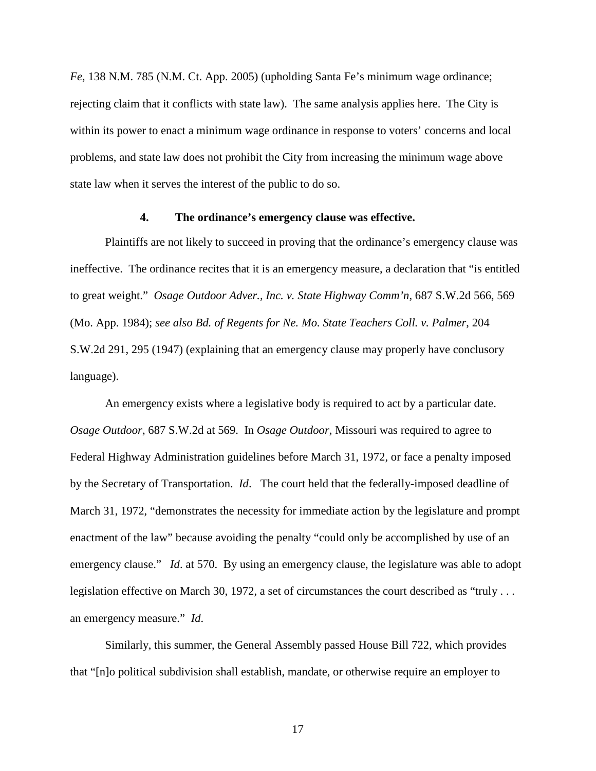*Fe*, 138 N.M. 785 (N.M. Ct. App. 2005) (upholding Santa Fe's minimum wage ordinance; rejecting claim that it conflicts with state law). The same analysis applies here. The City is within its power to enact a minimum wage ordinance in response to voters' concerns and local problems, and state law does not prohibit the City from increasing the minimum wage above state law when it serves the interest of the public to do so.

### **4. The ordinance's emergency clause was effective.**

 Plaintiffs are not likely to succeed in proving that the ordinance's emergency clause was ineffective. The ordinance recites that it is an emergency measure, a declaration that "is entitled to great weight." *Osage Outdoor Adver., Inc. v. State Highway Comm'n*, 687 S.W.2d 566, 569 (Mo. App. 1984); *see also Bd. of Regents for Ne. Mo. State Teachers Coll. v. Palmer*, 204 S.W.2d 291, 295 (1947) (explaining that an emergency clause may properly have conclusory language).

 An emergency exists where a legislative body is required to act by a particular date. *Osage Outdoor*, 687 S.W.2d at 569. In *Osage Outdoor*, Missouri was required to agree to Federal Highway Administration guidelines before March 31, 1972, or face a penalty imposed by the Secretary of Transportation. *Id*. The court held that the federally-imposed deadline of March 31, 1972, "demonstrates the necessity for immediate action by the legislature and prompt enactment of the law" because avoiding the penalty "could only be accomplished by use of an emergency clause." *Id.* at 570. By using an emergency clause, the legislature was able to adopt legislation effective on March 30, 1972, a set of circumstances the court described as "truly . . . an emergency measure." *Id*.

 Similarly, this summer, the General Assembly passed House Bill 722, which provides that "[n]o political subdivision shall establish, mandate, or otherwise require an employer to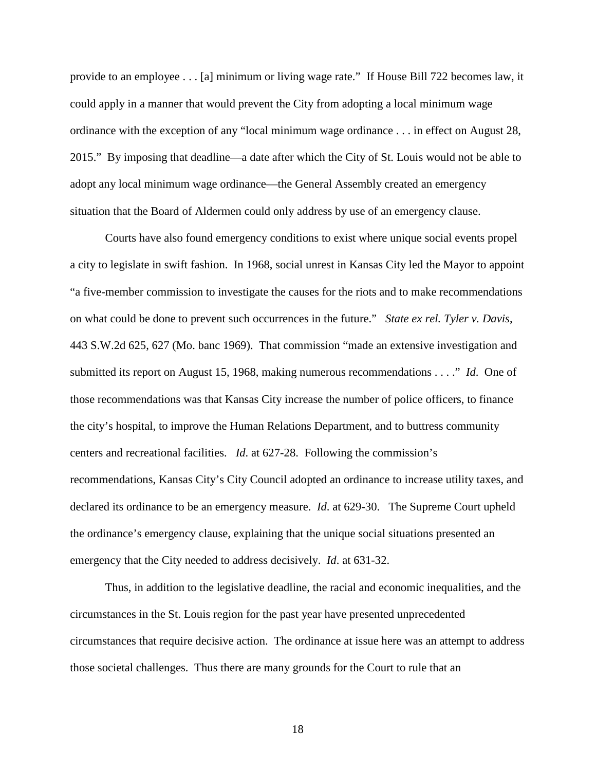provide to an employee . . . [a] minimum or living wage rate." If House Bill 722 becomes law, it could apply in a manner that would prevent the City from adopting a local minimum wage ordinance with the exception of any "local minimum wage ordinance . . . in effect on August 28, 2015." By imposing that deadline—a date after which the City of St. Louis would not be able to adopt any local minimum wage ordinance—the General Assembly created an emergency situation that the Board of Aldermen could only address by use of an emergency clause.

 Courts have also found emergency conditions to exist where unique social events propel a city to legislate in swift fashion. In 1968, social unrest in Kansas City led the Mayor to appoint "a five-member commission to investigate the causes for the riots and to make recommendations on what could be done to prevent such occurrences in the future." *State ex rel. Tyler v. Davis*, 443 S.W.2d 625, 627 (Mo. banc 1969). That commission "made an extensive investigation and submitted its report on August 15, 1968, making numerous recommendations . . . ." *Id*. One of those recommendations was that Kansas City increase the number of police officers, to finance the city's hospital, to improve the Human Relations Department, and to buttress community centers and recreational facilities. *Id*. at 627-28. Following the commission's recommendations, Kansas City's City Council adopted an ordinance to increase utility taxes, and declared its ordinance to be an emergency measure. *Id*. at 629-30. The Supreme Court upheld the ordinance's emergency clause, explaining that the unique social situations presented an emergency that the City needed to address decisively. *Id*. at 631-32.

 Thus, in addition to the legislative deadline, the racial and economic inequalities, and the circumstances in the St. Louis region for the past year have presented unprecedented circumstances that require decisive action. The ordinance at issue here was an attempt to address those societal challenges. Thus there are many grounds for the Court to rule that an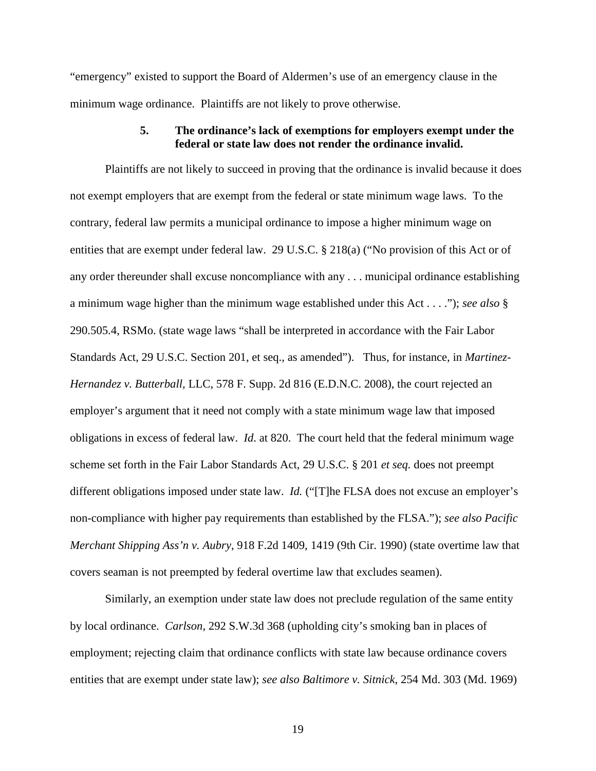"emergency" existed to support the Board of Aldermen's use of an emergency clause in the minimum wage ordinance. Plaintiffs are not likely to prove otherwise.

# **5. The ordinance's lack of exemptions for employers exempt under the federal or state law does not render the ordinance invalid.**

 Plaintiffs are not likely to succeed in proving that the ordinance is invalid because it does not exempt employers that are exempt from the federal or state minimum wage laws. To the contrary, federal law permits a municipal ordinance to impose a higher minimum wage on entities that are exempt under federal law. 29 U.S.C. § 218(a) ("No provision of this Act or of any order thereunder shall excuse noncompliance with any . . . municipal ordinance establishing a minimum wage higher than the minimum wage established under this Act . . . ."); *see also* § 290.505.4, RSMo. (state wage laws "shall be interpreted in accordance with the Fair Labor Standards Act, 29 U.S.C. Section 201, et seq., as amended"). Thus, for instance, in *Martinez-Hernandez v. Butterball,* LLC, 578 F. Supp. 2d 816 (E.D.N.C. 2008), the court rejected an employer's argument that it need not comply with a state minimum wage law that imposed obligations in excess of federal law. *Id*. at 820. The court held that the federal minimum wage scheme set forth in the Fair Labor Standards Act, 29 U.S.C. § 201 *et seq.* does not preempt different obligations imposed under state law. *Id.* ("[T]he FLSA does not excuse an employer's non-compliance with higher pay requirements than established by the FLSA."); *see also Pacific Merchant Shipping Ass'n v. Aubry*, 918 F.2d 1409, 1419 (9th Cir. 1990) (state overtime law that covers seaman is not preempted by federal overtime law that excludes seamen).

 Similarly, an exemption under state law does not preclude regulation of the same entity by local ordinance. *Carlson*, 292 S.W.3d 368 (upholding city's smoking ban in places of employment; rejecting claim that ordinance conflicts with state law because ordinance covers entities that are exempt under state law); *see also Baltimore v. Sitnick*, 254 Md. 303 (Md. 1969)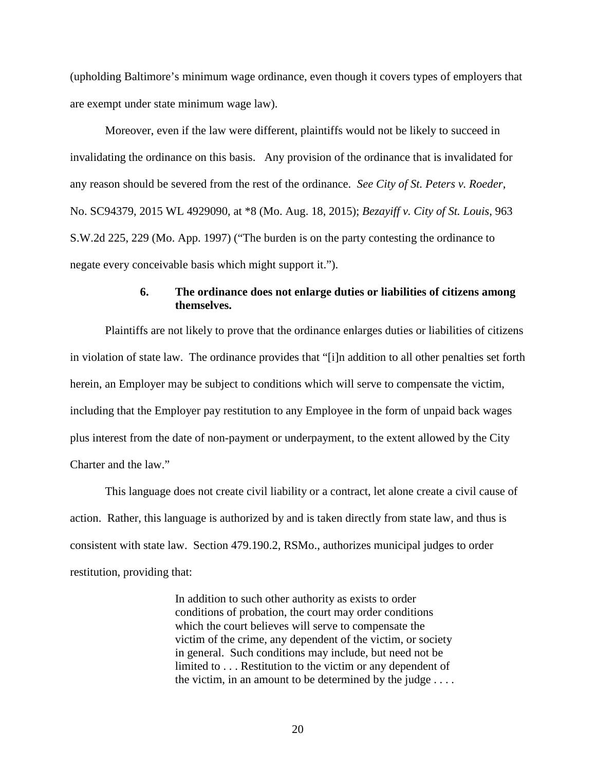(upholding Baltimore's minimum wage ordinance, even though it covers types of employers that are exempt under state minimum wage law).

 Moreover, even if the law were different, plaintiffs would not be likely to succeed in invalidating the ordinance on this basis. Any provision of the ordinance that is invalidated for any reason should be severed from the rest of the ordinance. *See City of St. Peters v. Roeder*, No. SC94379, 2015 WL 4929090, at \*8 (Mo. Aug. 18, 2015); *Bezayiff v. City of St. Louis*, 963 S.W.2d 225, 229 (Mo. App. 1997) ("The burden is on the party contesting the ordinance to negate every conceivable basis which might support it.").

# **6. The ordinance does not enlarge duties or liabilities of citizens among themselves.**

 Plaintiffs are not likely to prove that the ordinance enlarges duties or liabilities of citizens in violation of state law. The ordinance provides that "[i]n addition to all other penalties set forth herein, an Employer may be subject to conditions which will serve to compensate the victim, including that the Employer pay restitution to any Employee in the form of unpaid back wages plus interest from the date of non-payment or underpayment, to the extent allowed by the City Charter and the law."

 This language does not create civil liability or a contract, let alone create a civil cause of action. Rather, this language is authorized by and is taken directly from state law, and thus is consistent with state law. Section 479.190.2, RSMo., authorizes municipal judges to order restitution, providing that:

> In addition to such other authority as exists to order conditions of probation, the court may order conditions which the court believes will serve to compensate the victim of the crime, any dependent of the victim, or society in general. Such conditions may include, but need not be limited to . . . Restitution to the victim or any dependent of the victim, in an amount to be determined by the judge . . . .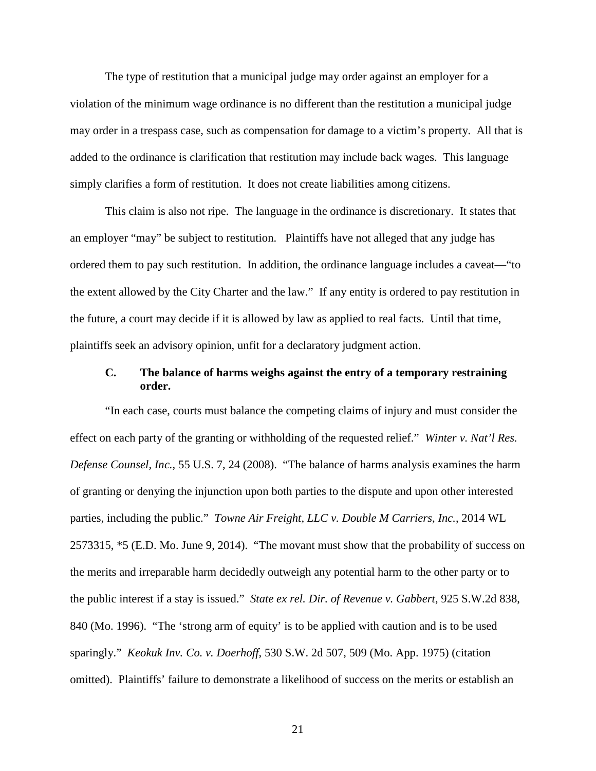The type of restitution that a municipal judge may order against an employer for a violation of the minimum wage ordinance is no different than the restitution a municipal judge may order in a trespass case, such as compensation for damage to a victim's property. All that is added to the ordinance is clarification that restitution may include back wages. This language simply clarifies a form of restitution. It does not create liabilities among citizens.

 This claim is also not ripe. The language in the ordinance is discretionary. It states that an employer "may" be subject to restitution. Plaintiffs have not alleged that any judge has ordered them to pay such restitution. In addition, the ordinance language includes a caveat—"to the extent allowed by the City Charter and the law." If any entity is ordered to pay restitution in the future, a court may decide if it is allowed by law as applied to real facts. Until that time, plaintiffs seek an advisory opinion, unfit for a declaratory judgment action.

# **C. The balance of harms weighs against the entry of a temporary restraining order.**

 "In each case, courts must balance the competing claims of injury and must consider the effect on each party of the granting or withholding of the requested relief." *Winter v. Nat'l Res. Defense Counsel, Inc.*, 55 U.S. 7, 24 (2008). "The balance of harms analysis examines the harm of granting or denying the injunction upon both parties to the dispute and upon other interested parties, including the public." *Towne Air Freight, LLC v. Double M Carriers, Inc.*, 2014 WL 2573315, \*5 (E.D. Mo. June 9, 2014). "The movant must show that the probability of success on the merits and irreparable harm decidedly outweigh any potential harm to the other party or to the public interest if a stay is issued." *State ex rel. Dir. of Revenue v. Gabbert*, 925 S.W.2d 838, 840 (Mo. 1996). "The 'strong arm of equity' is to be applied with caution and is to be used sparingly." *Keokuk Inv. Co. v. Doerhoff*, 530 S.W. 2d 507, 509 (Mo. App. 1975) (citation omitted). Plaintiffs' failure to demonstrate a likelihood of success on the merits or establish an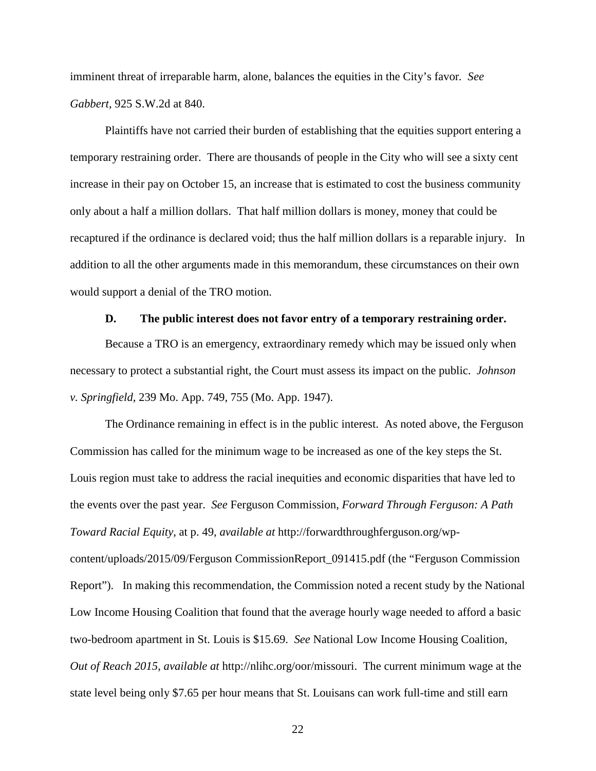imminent threat of irreparable harm, alone, balances the equities in the City's favor*. See Gabbert*, 925 S.W.2d at 840.

 Plaintiffs have not carried their burden of establishing that the equities support entering a temporary restraining order. There are thousands of people in the City who will see a sixty cent increase in their pay on October 15, an increase that is estimated to cost the business community only about a half a million dollars. That half million dollars is money, money that could be recaptured if the ordinance is declared void; thus the half million dollars is a reparable injury. In addition to all the other arguments made in this memorandum, these circumstances on their own would support a denial of the TRO motion.

#### **D. The public interest does not favor entry of a temporary restraining order.**

 Because a TRO is an emergency, extraordinary remedy which may be issued only when necessary to protect a substantial right, the Court must assess its impact on the public. *Johnson v. Springfield*, 239 Mo. App. 749, 755 (Mo. App. 1947).

 The Ordinance remaining in effect is in the public interest. As noted above, the Ferguson Commission has called for the minimum wage to be increased as one of the key steps the St. Louis region must take to address the racial inequities and economic disparities that have led to the events over the past year. *See* Ferguson Commission, *Forward Through Ferguson: A Path Toward Racial Equity*, at p. 49, *available at* http://forwardthroughferguson.org/wpcontent/uploads/2015/09/Ferguson CommissionReport\_091415.pdf (the "Ferguson Commission Report"). In making this recommendation, the Commission noted a recent study by the National Low Income Housing Coalition that found that the average hourly wage needed to afford a basic two-bedroom apartment in St. Louis is \$15.69. *See* National Low Income Housing Coalition, *Out of Reach 2015*, *available at* http://nlihc.org/oor/missouri. The current minimum wage at the state level being only \$7.65 per hour means that St. Louisans can work full-time and still earn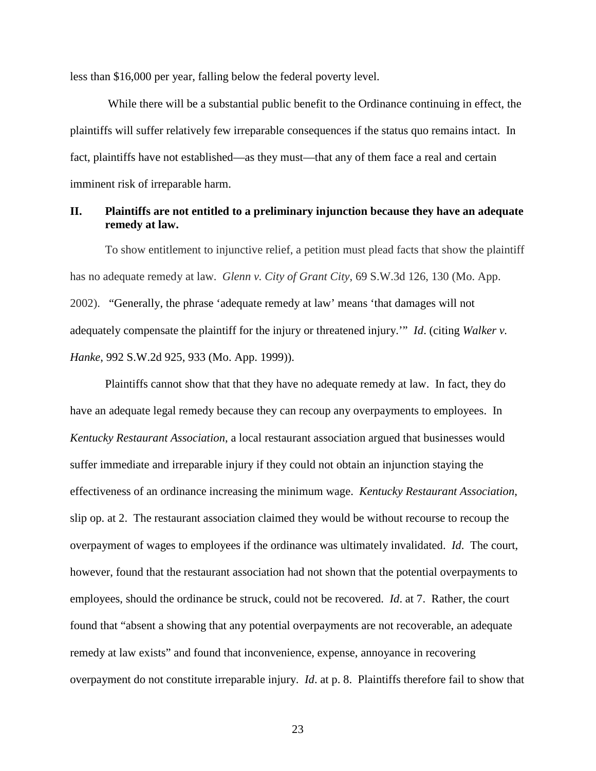less than \$16,000 per year, falling below the federal poverty level.

 While there will be a substantial public benefit to the Ordinance continuing in effect, the plaintiffs will suffer relatively few irreparable consequences if the status quo remains intact. In fact, plaintiffs have not established—as they must—that any of them face a real and certain imminent risk of irreparable harm.

### **II. Plaintiffs are not entitled to a preliminary injunction because they have an adequate remedy at law.**

To show entitlement to injunctive relief, a petition must plead facts that show the plaintiff has no adequate remedy at law. *Glenn v. City of Grant City*, 69 S.W.3d 126, 130 (Mo. App. 2002). "Generally, the phrase 'adequate remedy at law' means 'that damages will not adequately compensate the plaintiff for the injury or threatened injury.'" *Id*. (citing *Walker v. Hanke*, 992 S.W.2d 925, 933 (Mo. App. 1999)).

Plaintiffs cannot show that that they have no adequate remedy at law. In fact, they do have an adequate legal remedy because they can recoup any overpayments to employees. In *Kentucky Restaurant Association*, a local restaurant association argued that businesses would suffer immediate and irreparable injury if they could not obtain an injunction staying the effectiveness of an ordinance increasing the minimum wage. *Kentucky Restaurant Association*, slip op. at 2. The restaurant association claimed they would be without recourse to recoup the overpayment of wages to employees if the ordinance was ultimately invalidated. *Id*. The court, however, found that the restaurant association had not shown that the potential overpayments to employees, should the ordinance be struck, could not be recovered. *Id*. at 7. Rather, the court found that "absent a showing that any potential overpayments are not recoverable, an adequate remedy at law exists" and found that inconvenience, expense, annoyance in recovering overpayment do not constitute irreparable injury. *Id*. at p. 8. Plaintiffs therefore fail to show that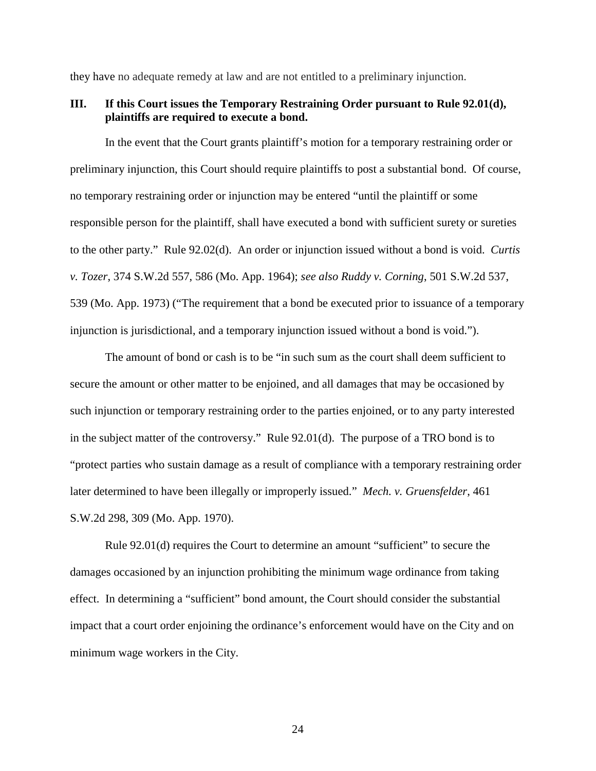they have no adequate remedy at law and are not entitled to a preliminary injunction.

### **III. If this Court issues the Temporary Restraining Order pursuant to Rule 92.01(d), plaintiffs are required to execute a bond.**

In the event that the Court grants plaintiff's motion for a temporary restraining order or preliminary injunction, this Court should require plaintiffs to post a substantial bond. Of course, no temporary restraining order or injunction may be entered "until the plaintiff or some responsible person for the plaintiff, shall have executed a bond with sufficient surety or sureties to the other party." Rule 92.02(d). An order or injunction issued without a bond is void. *Curtis v. Tozer*, 374 S.W.2d 557, 586 (Mo. App. 1964); *see also Ruddy v. Corning*, 501 S.W.2d 537, 539 (Mo. App. 1973) ("The requirement that a bond be executed prior to issuance of a temporary injunction is jurisdictional, and a temporary injunction issued without a bond is void.").

The amount of bond or cash is to be "in such sum as the court shall deem sufficient to secure the amount or other matter to be enjoined, and all damages that may be occasioned by such injunction or temporary restraining order to the parties enjoined, or to any party interested in the subject matter of the controversy." Rule 92.01(d). The purpose of a TRO bond is to "protect parties who sustain damage as a result of compliance with a temporary restraining order later determined to have been illegally or improperly issued." *Mech. v. Gruensfelder*, 461 S.W.2d 298, 309 (Mo. App. 1970).

Rule 92.01(d) requires the Court to determine an amount "sufficient" to secure the damages occasioned by an injunction prohibiting the minimum wage ordinance from taking effect. In determining a "sufficient" bond amount, the Court should consider the substantial impact that a court order enjoining the ordinance's enforcement would have on the City and on minimum wage workers in the City.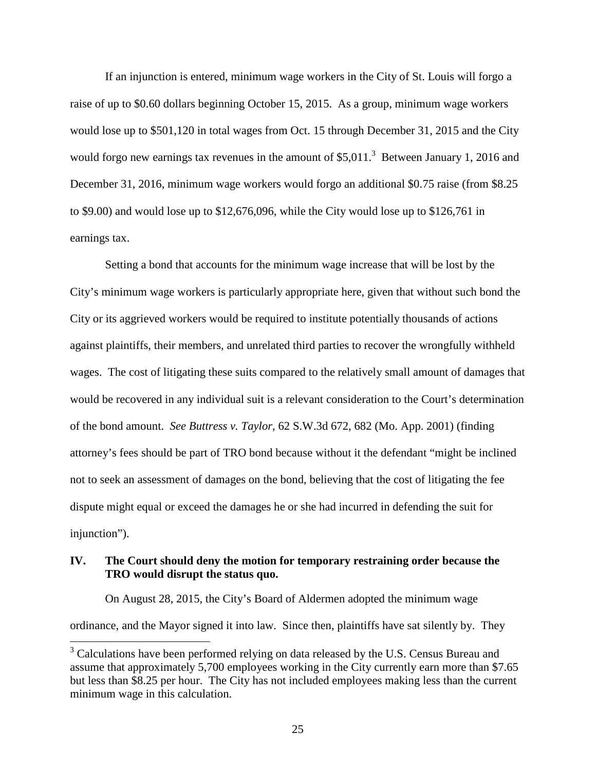If an injunction is entered, minimum wage workers in the City of St. Louis will forgo a raise of up to \$0.60 dollars beginning October 15, 2015. As a group, minimum wage workers would lose up to \$501,120 in total wages from Oct. 15 through December 31, 2015 and the City would forgo new earnings tax revenues in the amount of  $$5,011$ <sup>3</sup> Between January 1, 2016 and December 31, 2016, minimum wage workers would forgo an additional \$0.75 raise (from \$8.25 to \$9.00) and would lose up to \$12,676,096, while the City would lose up to \$126,761 in earnings tax.

Setting a bond that accounts for the minimum wage increase that will be lost by the City's minimum wage workers is particularly appropriate here, given that without such bond the City or its aggrieved workers would be required to institute potentially thousands of actions against plaintiffs, their members, and unrelated third parties to recover the wrongfully withheld wages. The cost of litigating these suits compared to the relatively small amount of damages that would be recovered in any individual suit is a relevant consideration to the Court's determination of the bond amount. *See Buttress v. Taylor*, 62 S.W.3d 672, 682 (Mo. App. 2001) (finding attorney's fees should be part of TRO bond because without it the defendant "might be inclined not to seek an assessment of damages on the bond, believing that the cost of litigating the fee dispute might equal or exceed the damages he or she had incurred in defending the suit for injunction").

# **IV. The Court should deny the motion for temporary restraining order because the TRO would disrupt the status quo.**

 On August 28, 2015, the City's Board of Aldermen adopted the minimum wage ordinance, and the Mayor signed it into law. Since then, plaintiffs have sat silently by. They

<sup>&</sup>lt;sup>3</sup> Calculations have been performed relying on data released by the U.S. Census Bureau and assume that approximately 5,700 employees working in the City currently earn more than \$7.65 but less than \$8.25 per hour. The City has not included employees making less than the current minimum wage in this calculation.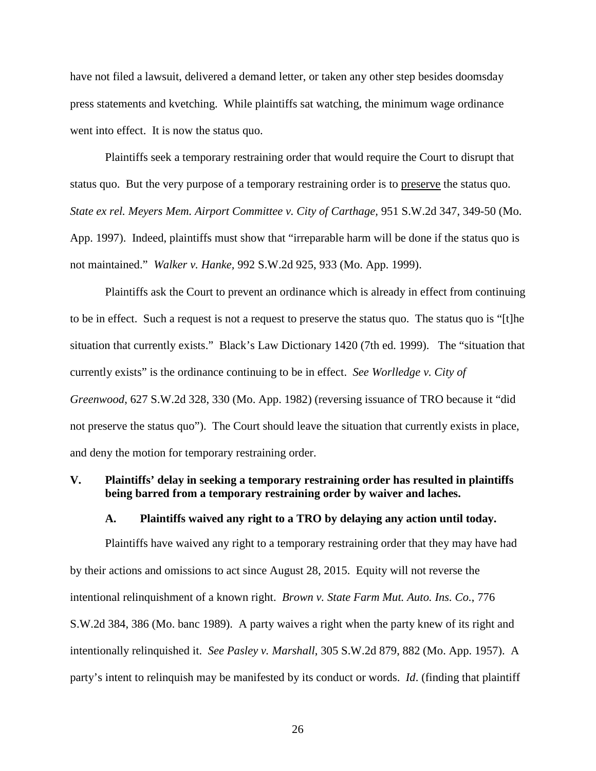have not filed a lawsuit, delivered a demand letter, or taken any other step besides doomsday press statements and kvetching. While plaintiffs sat watching, the minimum wage ordinance went into effect. It is now the status quo.

 Plaintiffs seek a temporary restraining order that would require the Court to disrupt that status quo. But the very purpose of a temporary restraining order is to preserve the status quo. *State ex rel. Meyers Mem. Airport Committee v. City of Carthage,* 951 S.W.2d 347, 349-50 (Mo. App. 1997). Indeed, plaintiffs must show that "irreparable harm will be done if the status quo is not maintained." *Walker v. Hanke,* 992 S.W.2d 925, 933 (Mo. App. 1999).

 Plaintiffs ask the Court to prevent an ordinance which is already in effect from continuing to be in effect. Such a request is not a request to preserve the status quo. The status quo is "[t]he situation that currently exists." Black's Law Dictionary 1420 (7th ed. 1999). The "situation that currently exists" is the ordinance continuing to be in effect. *See Worlledge v. City of Greenwood*, 627 S.W.2d 328, 330 (Mo. App. 1982) (reversing issuance of TRO because it "did not preserve the status quo"). The Court should leave the situation that currently exists in place, and deny the motion for temporary restraining order.

### **V. Plaintiffs' delay in seeking a temporary restraining order has resulted in plaintiffs being barred from a temporary restraining order by waiver and laches.**

### **A. Plaintiffs waived any right to a TRO by delaying any action until today.**

 Plaintiffs have waived any right to a temporary restraining order that they may have had by their actions and omissions to act since August 28, 2015. Equity will not reverse the intentional relinquishment of a known right. *Brown v. State Farm Mut. Auto. Ins. Co.*, 776 S.W.2d 384, 386 (Mo. banc 1989). A party waives a right when the party knew of its right and intentionally relinquished it. *See Pasley v. Marshall*, 305 S.W.2d 879, 882 (Mo. App. 1957). A party's intent to relinquish may be manifested by its conduct or words. *Id*. (finding that plaintiff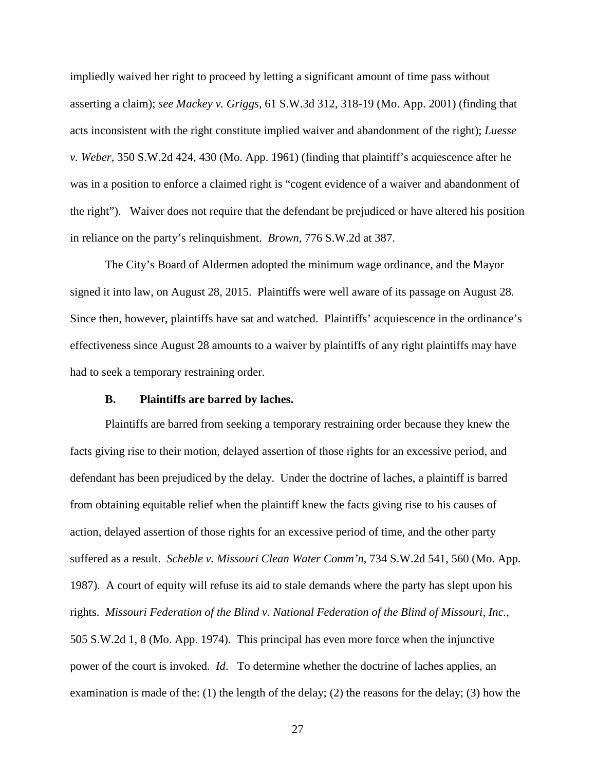impliedly waived her right to proceed by letting a significant amount of time pass without asserting a claim); *see Mackey v. Griggs*, 61 S.W.3d 312, 318-19 (Mo. App. 2001) (finding that acts inconsistent with the right constitute implied waiver and abandonment of the right); *Luesse v. Weber*, 350 S.W.2d 424, 430 (Mo. App. 1961) (finding that plaintiff's acquiescence after he was in a position to enforce a claimed right is "cogent evidence of a waiver and abandonment of the right"). Waiver does not require that the defendant be prejudiced or have altered his position in reliance on the party's relinquishment. *Brown*, 776 S.W.2d at 387.

 The City's Board of Aldermen adopted the minimum wage ordinance, and the Mayor signed it into law, on August 28, 2015. Plaintiffs were well aware of its passage on August 28. Since then, however, plaintiffs have sat and watched. Plaintiffs' acquiescence in the ordinance's effectiveness since August 28 amounts to a waiver by plaintiffs of any right plaintiffs may have had to seek a temporary restraining order.

#### **B. Plaintiffs are barred by laches.**

 Plaintiffs are barred from seeking a temporary restraining order because they knew the facts giving rise to their motion, delayed assertion of those rights for an excessive period, and defendant has been prejudiced by the delay. Under the doctrine of laches, a plaintiff is barred from obtaining equitable relief when the plaintiff knew the facts giving rise to his causes of action, delayed assertion of those rights for an excessive period of time, and the other party suffered as a result. *Scheble v. Missouri Clean Water Comm'n*, 734 S.W.2d 541, 560 (Mo. App. 1987). A court of equity will refuse its aid to stale demands where the party has slept upon his rights. *Missouri Federation of the Blind v. National Federation of the Blind of Missouri, Inc.*, 505 S.W.2d 1, 8 (Mo. App. 1974). This principal has even more force when the injunctive power of the court is invoked. *Id*. To determine whether the doctrine of laches applies, an examination is made of the: (1) the length of the delay; (2) the reasons for the delay; (3) how the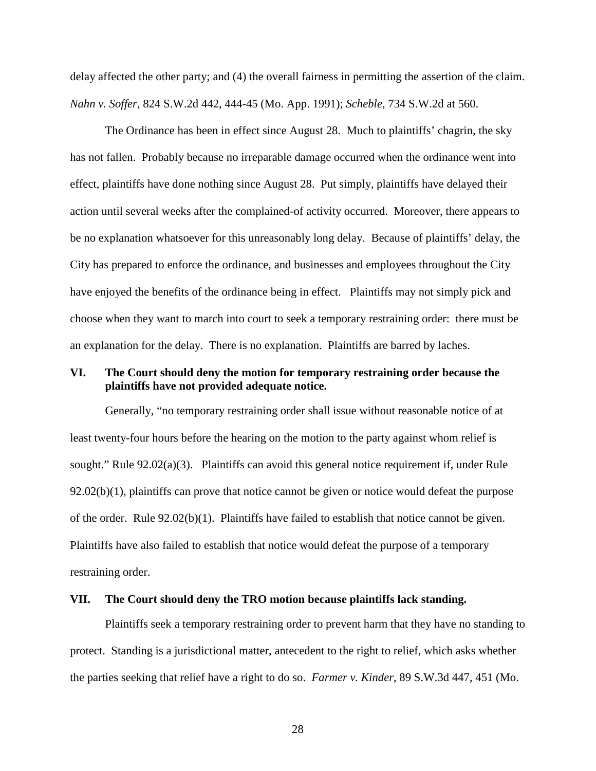delay affected the other party; and (4) the overall fairness in permitting the assertion of the claim. *Nahn v. Soffer*, 824 S.W.2d 442, 444-45 (Mo. App. 1991); *Scheble,* 734 S.W.2d at 560.

 The Ordinance has been in effect since August 28. Much to plaintiffs' chagrin, the sky has not fallen. Probably because no irreparable damage occurred when the ordinance went into effect, plaintiffs have done nothing since August 28. Put simply, plaintiffs have delayed their action until several weeks after the complained-of activity occurred. Moreover, there appears to be no explanation whatsoever for this unreasonably long delay. Because of plaintiffs' delay, the City has prepared to enforce the ordinance, and businesses and employees throughout the City have enjoyed the benefits of the ordinance being in effect. Plaintiffs may not simply pick and choose when they want to march into court to seek a temporary restraining order: there must be an explanation for the delay. There is no explanation. Plaintiffs are barred by laches.

### **VI. The Court should deny the motion for temporary restraining order because the plaintiffs have not provided adequate notice.**

 Generally, "no temporary restraining order shall issue without reasonable notice of at least twenty-four hours before the hearing on the motion to the party against whom relief is sought." Rule 92.02(a)(3). Plaintiffs can avoid this general notice requirement if, under Rule  $92.02(b)(1)$ , plaintiffs can prove that notice cannot be given or notice would defeat the purpose of the order. Rule  $92.02(b)(1)$ . Plaintiffs have failed to establish that notice cannot be given. Plaintiffs have also failed to establish that notice would defeat the purpose of a temporary restraining order.

#### **VII. The Court should deny the TRO motion because plaintiffs lack standing.**

Plaintiffs seek a temporary restraining order to prevent harm that they have no standing to protect. Standing is a jurisdictional matter, antecedent to the right to relief, which asks whether the parties seeking that relief have a right to do so. *Farmer v. Kinder*, 89 S.W.3d 447, 451 (Mo.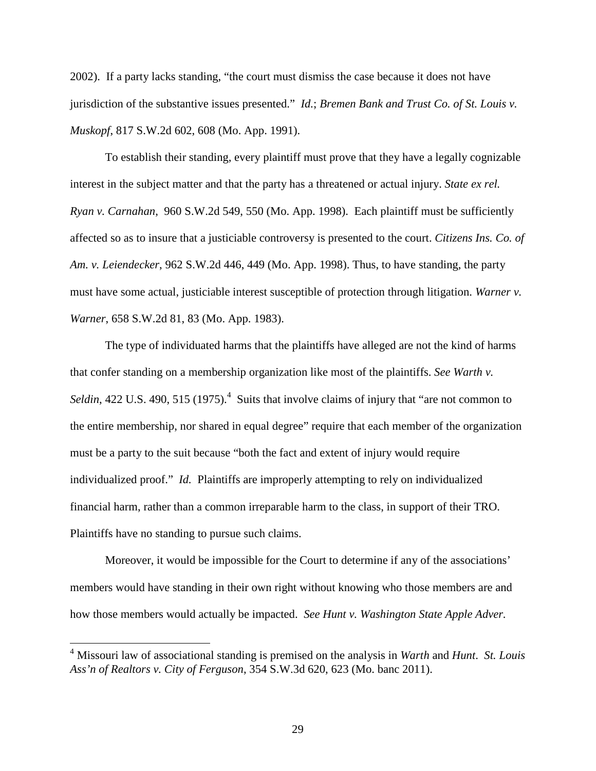2002). If a party lacks standing, "the court must dismiss the case because it does not have jurisdiction of the substantive issues presented." *Id.*; *Bremen Bank and Trust Co. of St. Louis v. Muskopf*, 817 S.W.2d 602, 608 (Mo. App. 1991).

 To establish their standing, every plaintiff must prove that they have a legally cognizable interest in the subject matter and that the party has a threatened or actual injury. *State ex rel. Ryan v. Carnahan*, 960 S.W.2d 549, 550 (Mo. App. 1998). Each plaintiff must be sufficiently affected so as to insure that a justiciable controversy is presented to the court. *Citizens Ins. Co. of Am. v. Leiendecker*, 962 S.W.2d 446, 449 (Mo. App. 1998). Thus, to have standing, the party must have some actual, justiciable interest susceptible of protection through litigation. *Warner v. Warner*, 658 S.W.2d 81, 83 (Mo. App. 1983).

The type of individuated harms that the plaintiffs have alleged are not the kind of harms that confer standing on a membership organization like most of the plaintiffs. *See Warth v.*  Seldin, 422 U.S. 490, 515 (1975).<sup>4</sup> Suits that involve claims of injury that "are not common to the entire membership, nor shared in equal degree" require that each member of the organization must be a party to the suit because "both the fact and extent of injury would require individualized proof." *Id.* Plaintiffs are improperly attempting to rely on individualized financial harm, rather than a common irreparable harm to the class, in support of their TRO. Plaintiffs have no standing to pursue such claims.

Moreover, it would be impossible for the Court to determine if any of the associations' members would have standing in their own right without knowing who those members are and how those members would actually be impacted. *See Hunt v. Washington State Apple Adver.* 

<u>.</u>

<sup>4</sup> Missouri law of associational standing is premised on the analysis in *Warth* and *Hunt*. *St. Louis Ass'n of Realtors v. City of Ferguson*, 354 S.W.3d 620, 623 (Mo. banc 2011).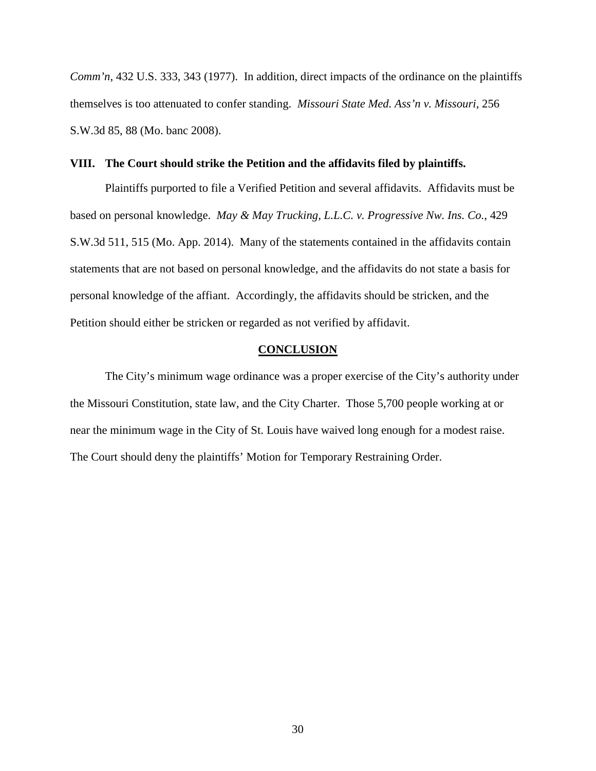*Comm'n*, 432 U.S. 333, 343 (1977). In addition, direct impacts of the ordinance on the plaintiffs themselves is too attenuated to confer standing. *Missouri State Med. Ass'n v. Missouri*, 256 S.W.3d 85, 88 (Mo. banc 2008).

### **VIII. The Court should strike the Petition and the affidavits filed by plaintiffs.**

 Plaintiffs purported to file a Verified Petition and several affidavits. Affidavits must be based on personal knowledge. *May & May Trucking, L.L.C. v. Progressive Nw. Ins. Co.*, 429 S.W.3d 511, 515 (Mo. App. 2014). Many of the statements contained in the affidavits contain statements that are not based on personal knowledge, and the affidavits do not state a basis for personal knowledge of the affiant. Accordingly, the affidavits should be stricken, and the Petition should either be stricken or regarded as not verified by affidavit.

### **CONCLUSION**

 The City's minimum wage ordinance was a proper exercise of the City's authority under the Missouri Constitution, state law, and the City Charter. Those 5,700 people working at or near the minimum wage in the City of St. Louis have waived long enough for a modest raise. The Court should deny the plaintiffs' Motion for Temporary Restraining Order.